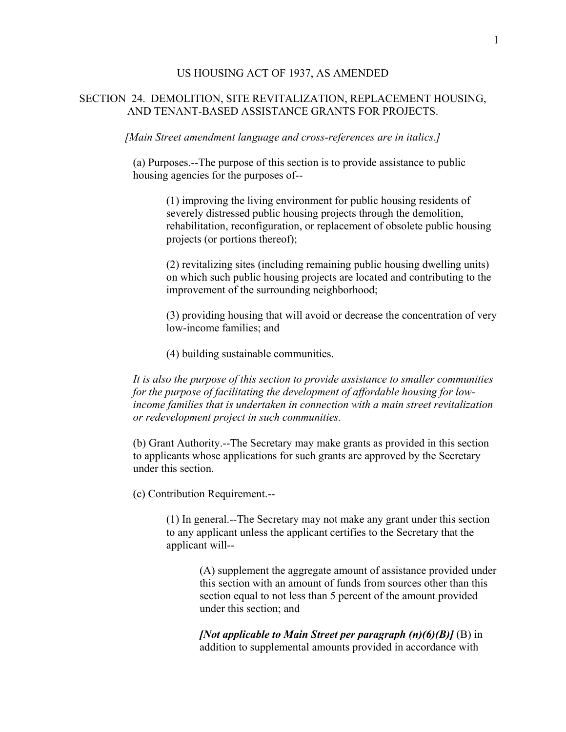## US HOUSING ACT OF 1937, AS AMENDED

## SECTION 24. DEMOLITION, SITE REVITALIZATION, REPLACEMENT HOUSING, AND TENANT-BASED ASSISTANCE GRANTS FOR PROJECTS.

*[Main Street amendment language and cross-references are in italics.]* 

(a) Purposes.--The purpose of this section is to provide assistance to public housing agencies for the purposes of--

> (1) improving the living environment for public housing residents of severely distressed public housing projects through the demolition, rehabilitation, reconfiguration, or replacement of obsolete public housing projects (or portions thereof);

> (2) revitalizing sites (including remaining public housing dwelling units) on which such public housing projects are located and contributing to the improvement of the surrounding neighborhood;

(3) providing housing that will avoid or decrease the concentration of very low-income families; and

(4) building sustainable communities.

*It is also the purpose of this section to provide assistance to smaller communities for the purpose of facilitating the development of affordable housing for lowincome families that is undertaken in connection with a main street revitalization or redevelopment project in such communities.* 

(b) Grant Authority.--The Secretary may make grants as provided in this section to applicants whose applications for such grants are approved by the Secretary under this section.

(c) Contribution Requirement.--

(1) In general.--The Secretary may not make any grant under this section to any applicant unless the applicant certifies to the Secretary that the applicant will--

(A) supplement the aggregate amount of assistance provided under this section with an amount of funds from sources other than this section equal to not less than 5 percent of the amount provided under this section; and

*[Not applicable to Main Street per paragraph (n)(6)(B)]* (B) in addition to supplemental amounts provided in accordance with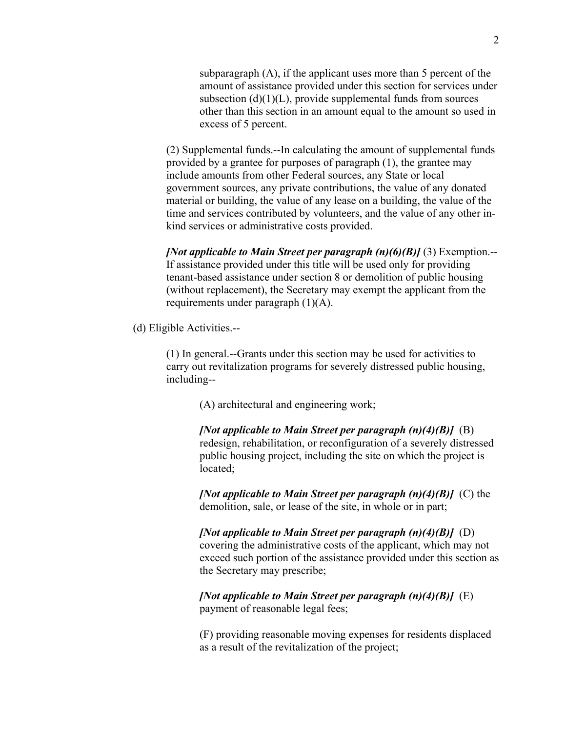subparagraph (A), if the applicant uses more than 5 percent of the amount of assistance provided under this section for services under subsection  $(d)(1)(L)$ , provide supplemental funds from sources other than this section in an amount equal to the amount so used in excess of 5 percent.

(2) Supplemental funds.--In calculating the amount of supplemental funds provided by a grantee for purposes of paragraph (1), the grantee may include amounts from other Federal sources, any State or local government sources, any private contributions, the value of any donated material or building, the value of any lease on a building, the value of the time and services contributed by volunteers, and the value of any other inkind services or administrative costs provided.

*[Not applicable to Main Street per paragraph (n)(6)(B)]* (3) Exemption.-- If assistance provided under this title will be used only for providing tenant-based assistance under section 8 or demolition of public housing (without replacement), the Secretary may exempt the applicant from the requirements under paragraph (1)(A).

(d) Eligible Activities.--

(1) In general.--Grants under this section may be used for activities to carry out revitalization programs for severely distressed public housing, including--

(A) architectural and engineering work;

*[Not applicable to Main Street per paragraph (n)(4)(B)]* (B) redesign, rehabilitation, or reconfiguration of a severely distressed public housing project, including the site on which the project is located;

*[Not applicable to Main Street per paragraph (n)(4)(B)]* (C) the demolition, sale, or lease of the site, in whole or in part;

*[Not applicable to Main Street per paragraph (n)(4)(B)]* (D) covering the administrative costs of the applicant, which may not exceed such portion of the assistance provided under this section as the Secretary may prescribe;

*[Not applicable to Main Street per paragraph (n)(4)(B)]* (E) payment of reasonable legal fees;

(F) providing reasonable moving expenses for residents displaced as a result of the revitalization of the project;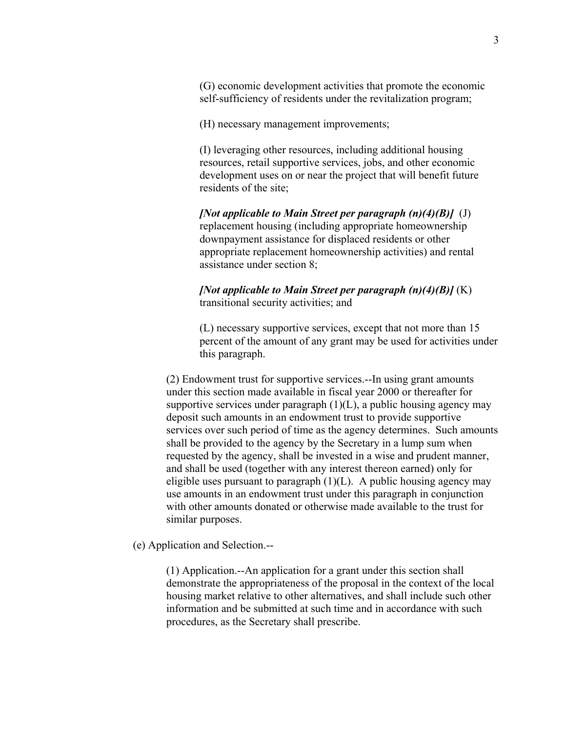(G) economic development activities that promote the economic self-sufficiency of residents under the revitalization program;

(H) necessary management improvements;

(I) leveraging other resources, including additional housing resources, retail supportive services, jobs, and other economic development uses on or near the project that will benefit future residents of the site;

*[Not applicable to Main Street per paragraph (n)(4)(B)]* (J) replacement housing (including appropriate homeownership downpayment assistance for displaced residents or other appropriate replacement homeownership activities) and rental assistance under section 8;

*[Not applicable to Main Street per paragraph (n)(4)(B)]* (K) transitional security activities; and

(L) necessary supportive services, except that not more than 15 percent of the amount of any grant may be used for activities under this paragraph.

(2) Endowment trust for supportive services.--In using grant amounts under this section made available in fiscal year 2000 or thereafter for supportive services under paragraph  $(1)(L)$ , a public housing agency may deposit such amounts in an endowment trust to provide supportive services over such period of time as the agency determines. Such amounts shall be provided to the agency by the Secretary in a lump sum when requested by the agency, shall be invested in a wise and prudent manner, and shall be used (together with any interest thereon earned) only for eligible uses pursuant to paragraph  $(1)(L)$ . A public housing agency may use amounts in an endowment trust under this paragraph in conjunction with other amounts donated or otherwise made available to the trust for similar purposes.

(e) Application and Selection.--

(1) Application.--An application for a grant under this section shall demonstrate the appropriateness of the proposal in the context of the local housing market relative to other alternatives, and shall include such other information and be submitted at such time and in accordance with such procedures, as the Secretary shall prescribe.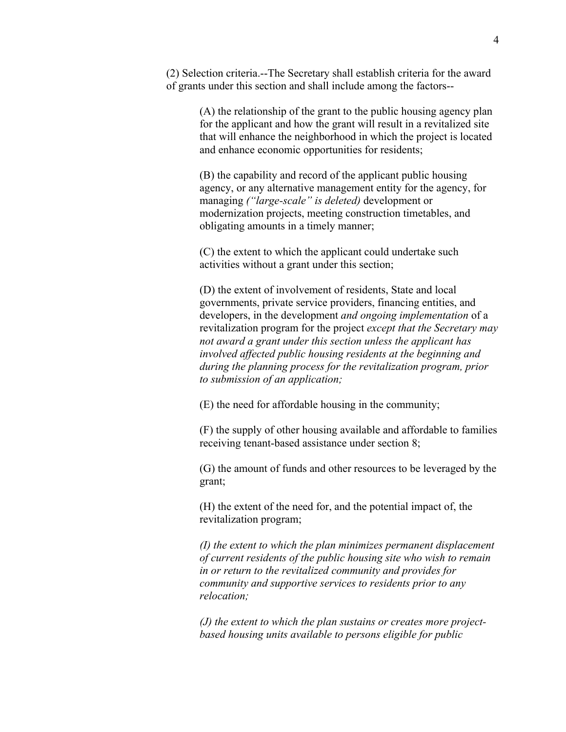(2) Selection criteria.--The Secretary shall establish criteria for the award of grants under this section and shall include among the factors--

> (A) the relationship of the grant to the public housing agency plan for the applicant and how the grant will result in a revitalized site that will enhance the neighborhood in which the project is located and enhance economic opportunities for residents;

(B) the capability and record of the applicant public housing agency, or any alternative management entity for the agency, for managing *("large-scale" is deleted)* development or modernization projects, meeting construction timetables, and obligating amounts in a timely manner;

(C) the extent to which the applicant could undertake such activities without a grant under this section;

(D) the extent of involvement of residents, State and local governments, private service providers, financing entities, and developers, in the development *and ongoing implementation* of a revitalization program for the project *except that the Secretary may not award a grant under this section unless the applicant has involved affected public housing residents at the beginning and during the planning process for the revitalization program, prior to submission of an application;*

(E) the need for affordable housing in the community;

(F) the supply of other housing available and affordable to families receiving tenant-based assistance under section 8;

(G) the amount of funds and other resources to be leveraged by the grant;

(H) the extent of the need for, and the potential impact of, the revitalization program;

*(I) the extent to which the plan minimizes permanent displacement of current residents of the public housing site who wish to remain in or return to the revitalized community and provides for community and supportive services to residents prior to any relocation;* 

*(J) the extent to which the plan sustains or creates more projectbased housing units available to persons eligible for public*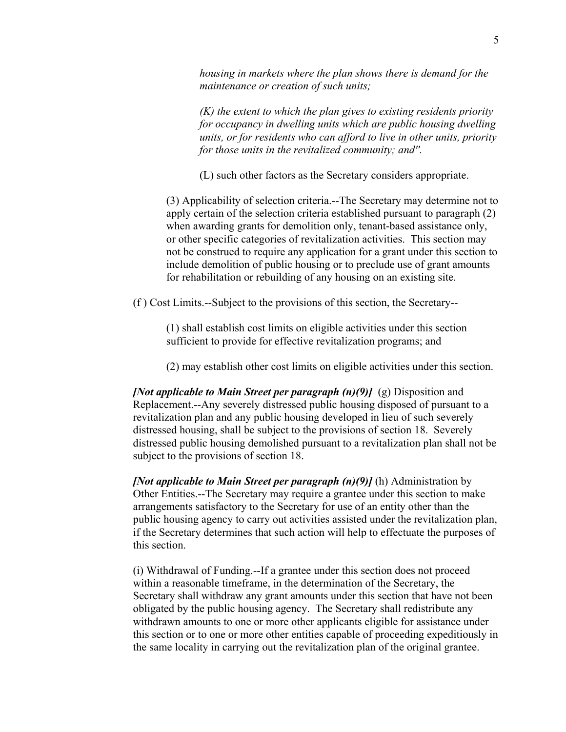*housing in markets where the plan shows there is demand for the maintenance or creation of such units;* 

*(K) the extent to which the plan gives to existing residents priority for occupancy in dwelling units which are public housing dwelling units, or for residents who can afford to live in other units, priority for those units in the revitalized community; and''.* 

(L) such other factors as the Secretary considers appropriate.

(3) Applicability of selection criteria.--The Secretary may determine not to apply certain of the selection criteria established pursuant to paragraph (2) when awarding grants for demolition only, tenant-based assistance only, or other specific categories of revitalization activities. This section may not be construed to require any application for a grant under this section to include demolition of public housing or to preclude use of grant amounts for rehabilitation or rebuilding of any housing on an existing site.

(f ) Cost Limits.--Subject to the provisions of this section, the Secretary--

(1) shall establish cost limits on eligible activities under this section sufficient to provide for effective revitalization programs; and

(2) may establish other cost limits on eligible activities under this section.

*[Not applicable to Main Street per paragraph (n)(9)]* (g) Disposition and Replacement.--Any severely distressed public housing disposed of pursuant to a revitalization plan and any public housing developed in lieu of such severely distressed housing, shall be subject to the provisions of section 18. Severely distressed public housing demolished pursuant to a revitalization plan shall not be subject to the provisions of section 18.

*[Not applicable to Main Street per paragraph (n)(9)]* (h) Administration by Other Entities.--The Secretary may require a grantee under this section to make arrangements satisfactory to the Secretary for use of an entity other than the public housing agency to carry out activities assisted under the revitalization plan, if the Secretary determines that such action will help to effectuate the purposes of this section.

(i) Withdrawal of Funding.--If a grantee under this section does not proceed within a reasonable timeframe, in the determination of the Secretary, the Secretary shall withdraw any grant amounts under this section that have not been obligated by the public housing agency. The Secretary shall redistribute any withdrawn amounts to one or more other applicants eligible for assistance under this section or to one or more other entities capable of proceeding expeditiously in the same locality in carrying out the revitalization plan of the original grantee.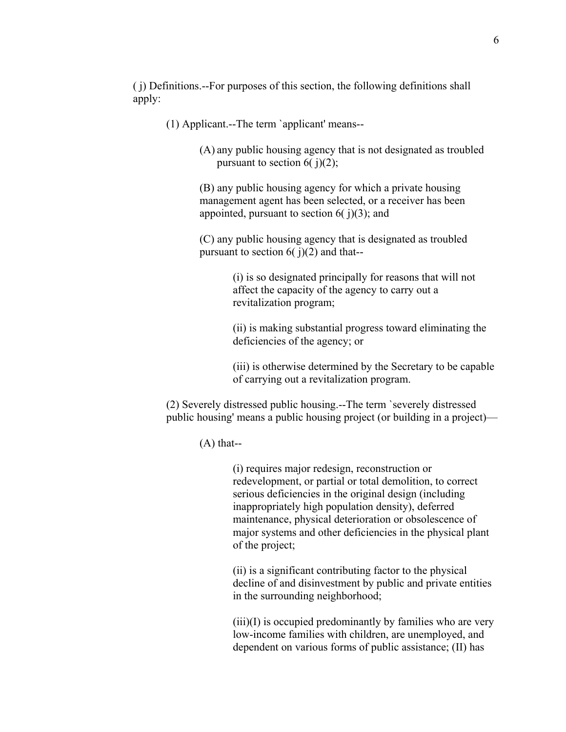( j) Definitions.--For purposes of this section, the following definitions shall apply:

(1) Applicant.--The term `applicant' means--

(A) any public housing agency that is not designated as troubled pursuant to section  $6(j)(2)$ ;

(B) any public housing agency for which a private housing management agent has been selected, or a receiver has been appointed, pursuant to section  $6(j)(3)$ ; and

(C) any public housing agency that is designated as troubled pursuant to section  $6(j)(2)$  and that--

> (i) is so designated principally for reasons that will not affect the capacity of the agency to carry out a revitalization program;

(ii) is making substantial progress toward eliminating the deficiencies of the agency; or

(iii) is otherwise determined by the Secretary to be capable of carrying out a revitalization program.

(2) Severely distressed public housing.--The term `severely distressed public housing' means a public housing project (or building in a project)—

 $(A)$  that--

(i) requires major redesign, reconstruction or redevelopment, or partial or total demolition, to correct serious deficiencies in the original design (including inappropriately high population density), deferred maintenance, physical deterioration or obsolescence of major systems and other deficiencies in the physical plant of the project;

(ii) is a significant contributing factor to the physical decline of and disinvestment by public and private entities in the surrounding neighborhood;

 $(iii)(I)$  is occupied predominantly by families who are very low-income families with children, are unemployed, and dependent on various forms of public assistance; (II) has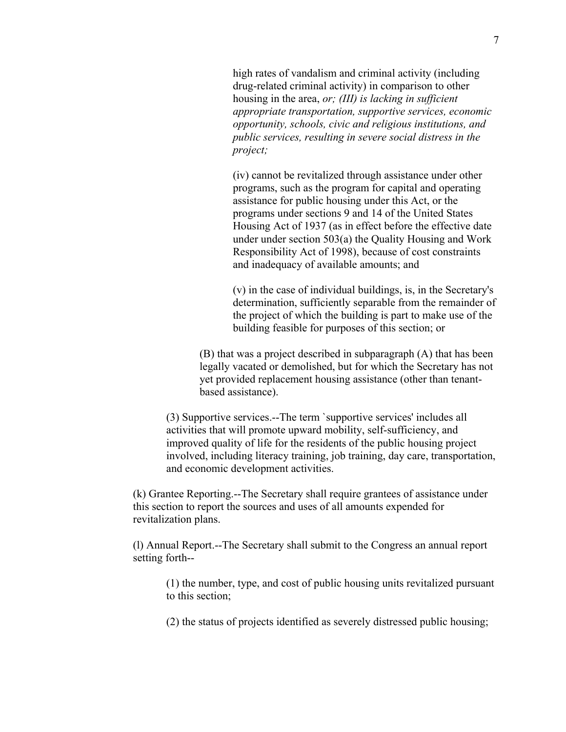high rates of vandalism and criminal activity (including drug-related criminal activity) in comparison to other housing in the area, *or; (III) is lacking in sufficient appropriate transportation, supportive services, economic opportunity, schools, civic and religious institutions, and public services, resulting in severe social distress in the project;* 

(iv) cannot be revitalized through assistance under other programs, such as the program for capital and operating assistance for public housing under this Act, or the programs under sections 9 and 14 of the United States Housing Act of 1937 (as in effect before the effective date under under section 503(a) the Quality Housing and Work Responsibility Act of 1998), because of cost constraints and inadequacy of available amounts; and

(v) in the case of individual buildings, is, in the Secretary's determination, sufficiently separable from the remainder of the project of which the building is part to make use of the building feasible for purposes of this section; or

(B) that was a project described in subparagraph (A) that has been legally vacated or demolished, but for which the Secretary has not yet provided replacement housing assistance (other than tenantbased assistance).

(3) Supportive services.--The term `supportive services' includes all activities that will promote upward mobility, self-sufficiency, and improved quality of life for the residents of the public housing project involved, including literacy training, job training, day care, transportation, and economic development activities.

 (k) Grantee Reporting.--The Secretary shall require grantees of assistance under this section to report the sources and uses of all amounts expended for revitalization plans.

(l) Annual Report.--The Secretary shall submit to the Congress an annual report setting forth--

(1) the number, type, and cost of public housing units revitalized pursuant to this section;

(2) the status of projects identified as severely distressed public housing;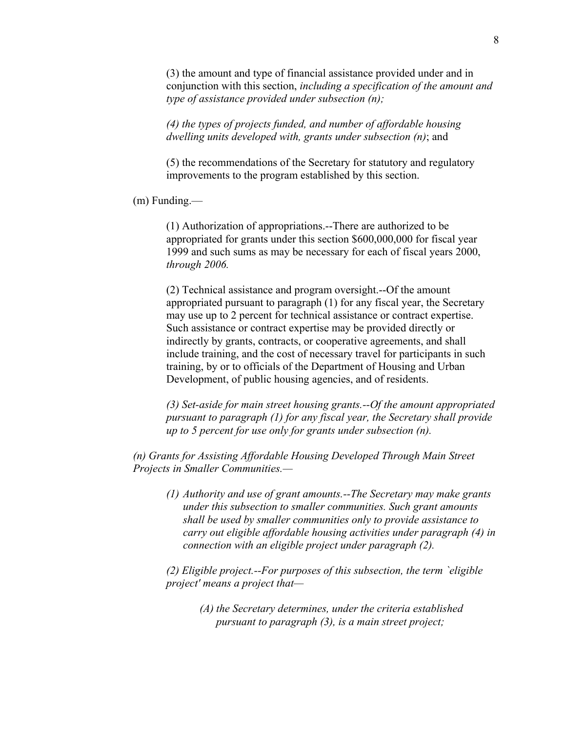(3) the amount and type of financial assistance provided under and in conjunction with this section, *including a specification of the amount and type of assistance provided under subsection (n);* 

*(4) the types of projects funded, and number of affordable housing dwelling units developed with, grants under subsection (n)*; and

(5) the recommendations of the Secretary for statutory and regulatory improvements to the program established by this section.

(m) Funding.—

(1) Authorization of appropriations.--There are authorized to be appropriated for grants under this section \$600,000,000 for fiscal year 1999 and such sums as may be necessary for each of fiscal years 2000, *through 2006.*

(2) Technical assistance and program oversight.--Of the amount appropriated pursuant to paragraph (1) for any fiscal year, the Secretary may use up to 2 percent for technical assistance or contract expertise. Such assistance or contract expertise may be provided directly or indirectly by grants, contracts, or cooperative agreements, and shall include training, and the cost of necessary travel for participants in such training, by or to officials of the Department of Housing and Urban Development, of public housing agencies, and of residents.

*(3) Set-aside for main street housing grants.--Of the amount appropriated pursuant to paragraph (1) for any fiscal year, the Secretary shall provide up to 5 percent for use only for grants under subsection (n).* 

*(n) Grants for Assisting Affordable Housing Developed Through Main Street Projects in Smaller Communities.—* 

*(1) Authority and use of grant amounts.--The Secretary may make grants under this subsection to smaller communities. Such grant amounts shall be used by smaller communities only to provide assistance to carry out eligible affordable housing activities under paragraph (4) in connection with an eligible project under paragraph (2).* 

*(2) Eligible project.--For purposes of this subsection, the term `eligible project' means a project that—* 

> *(A) the Secretary determines, under the criteria established pursuant to paragraph (3), is a main street project;*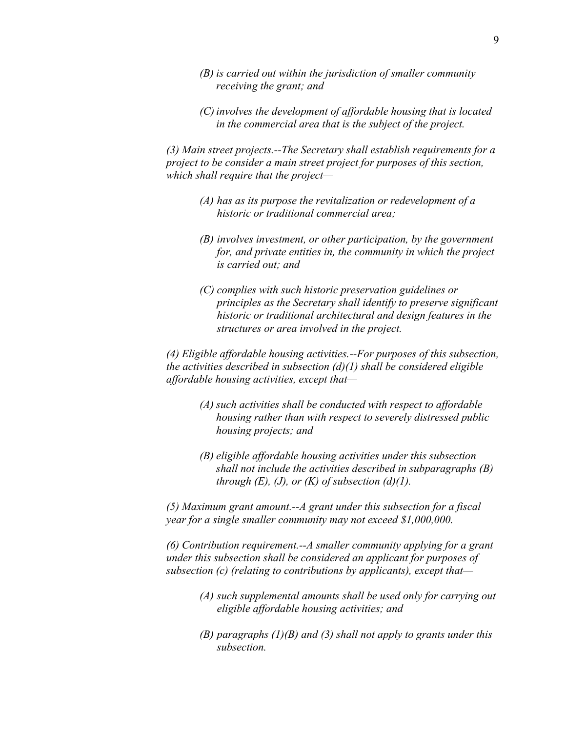- *(B) is carried out within the jurisdiction of smaller community receiving the grant; and*
- *(C) involves the development of affordable housing that is located in the commercial area that is the subject of the project.*

*(3) Main street projects.--The Secretary shall establish requirements for a project to be consider a main street project for purposes of this section, which shall require that the project—* 

- *(A) has as its purpose the revitalization or redevelopment of a historic or traditional commercial area;*
- *(B) involves investment, or other participation, by the government for, and private entities in, the community in which the project is carried out; and*
- *(C) complies with such historic preservation guidelines or principles as the Secretary shall identify to preserve significant historic or traditional architectural and design features in the structures or area involved in the project.*

*(4) Eligible affordable housing activities.--For purposes of this subsection, the activities described in subsection (d)(1) shall be considered eligible affordable housing activities, except that—* 

- *(A) such activities shall be conducted with respect to affordable housing rather than with respect to severely distressed public housing projects; and*
- *(B) eligible affordable housing activities under this subsection shall not include the activities described in subparagraphs (B) through*  $(E)$ *,*  $(J)$ *, or*  $(K)$  *of subsection*  $(d)(1)$ *.*

*(5) Maximum grant amount.--A grant under this subsection for a fiscal year for a single smaller community may not exceed \$1,000,000.* 

*(6) Contribution requirement.--A smaller community applying for a grant under this subsection shall be considered an applicant for purposes of subsection (c) (relating to contributions by applicants), except that—* 

- *(A) such supplemental amounts shall be used only for carrying out eligible affordable housing activities; and*
- *(B) paragraphs (1)(B) and (3) shall not apply to grants under this subsection.*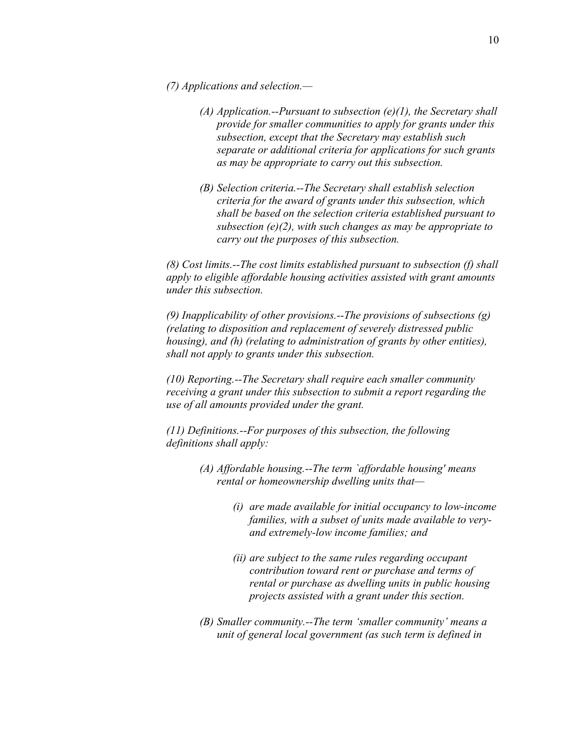- *(7) Applications and selection.—* 
	- *(A) Application.--Pursuant to subsection (e)(1), the Secretary shall provide for smaller communities to apply for grants under this subsection, except that the Secretary may establish such separate or additional criteria for applications for such grants as may be appropriate to carry out this subsection.*
	- *(B) Selection criteria.--The Secretary shall establish selection criteria for the award of grants under this subsection, which shall be based on the selection criteria established pursuant to subsection (e)(2), with such changes as may be appropriate to carry out the purposes of this subsection.*

*(8) Cost limits.--The cost limits established pursuant to subsection (f) shall apply to eligible affordable housing activities assisted with grant amounts under this subsection.* 

*(9) Inapplicability of other provisions.--The provisions of subsections (g) (relating to disposition and replacement of severely distressed public housing), and (h) (relating to administration of grants by other entities), shall not apply to grants under this subsection.* 

*(10) Reporting.--The Secretary shall require each smaller community receiving a grant under this subsection to submit a report regarding the use of all amounts provided under the grant.* 

*(11) Definitions.--For purposes of this subsection, the following definitions shall apply:* 

- *(A) Affordable housing.--The term `affordable housing' means rental or homeownership dwelling units that—* 
	- *(i) are made available for initial occupancy to low-income families, with a subset of units made available to veryand extremely-low income families; and*
	- *(ii) are subject to the same rules regarding occupant contribution toward rent or purchase and terms of rental or purchase as dwelling units in public housing projects assisted with a grant under this section.*
- *(B) Smaller community.--The term 'smaller community' means a unit of general local government (as such term is defined in*